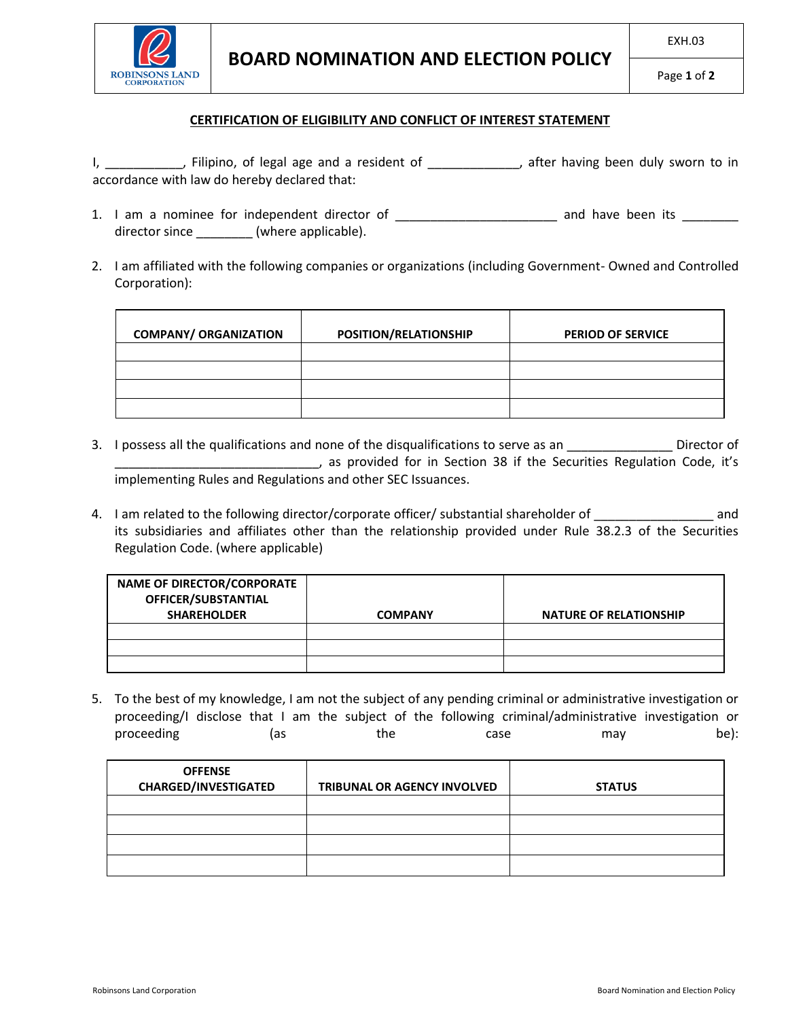

## **CERTIFICATION OF ELIGIBILITY AND CONFLICT OF INTEREST STATEMENT**

I, \_\_\_\_\_\_\_\_\_\_\_, Filipino, of legal age and a resident of \_\_\_\_\_\_\_\_\_\_\_\_\_, after having been duly sworn to in accordance with law do hereby declared that:

- 1. I am a nominee for independent director of \_\_\_\_\_\_\_\_\_\_\_\_\_\_\_\_\_\_\_\_\_\_\_\_\_\_\_ and have been its \_\_\_\_\_\_\_\_ director since \_\_\_\_\_\_\_\_\_ (where applicable).
- 2. I am affiliated with the following companies or organizations (including Government- Owned and Controlled Corporation):

| <b>COMPANY/ ORGANIZATION</b> | POSITION/RELATIONSHIP | <b>PERIOD OF SERVICE</b> |
|------------------------------|-----------------------|--------------------------|
|                              |                       |                          |
|                              |                       |                          |
|                              |                       |                          |
|                              |                       |                          |

- 3. I possess all the qualifications and none of the disqualifications to serve as an \_\_\_\_\_\_\_\_\_\_\_\_\_\_\_\_\_\_ Director of \_\_\_\_\_\_\_\_\_\_\_\_\_\_\_\_\_\_\_\_\_\_\_\_\_\_\_\_\_, as provided for in Section 38 if the Securities Regulation Code, it's implementing Rules and Regulations and other SEC Issuances.
- 4. I am related to the following director/corporate officer/ substantial shareholder of  $\Box$ its subsidiaries and affiliates other than the relationship provided under Rule 38.2.3 of the Securities Regulation Code. (where applicable)

| <b>NAME OF DIRECTOR/CORPORATE</b><br>OFFICER/SUBSTANTIAL<br><b>SHAREHOLDER</b> | <b>COMPANY</b> | <b>NATURE OF RELATIONSHIP</b> |
|--------------------------------------------------------------------------------|----------------|-------------------------------|
|                                                                                |                |                               |
|                                                                                |                |                               |
|                                                                                |                |                               |

5. To the best of my knowledge, I am not the subject of any pending criminal or administrative investigation or proceeding/I disclose that I am the subject of the following criminal/administrative investigation or proceeding (as the case may be):

| <b>OFFENSE</b><br><b>CHARGED/INVESTIGATED</b> | <b>TRIBUNAL OR AGENCY INVOLVED</b> | <b>STATUS</b> |
|-----------------------------------------------|------------------------------------|---------------|
|                                               |                                    |               |
|                                               |                                    |               |
|                                               |                                    |               |
|                                               |                                    |               |